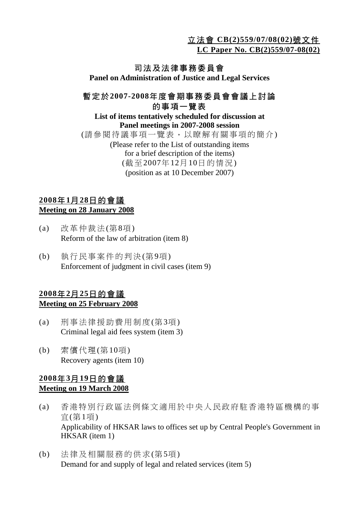立法會 **CB(2)559/07/08(02)**號文件

**LC Paper No. CB(2)559/07-08(02)**

# 司法及法律事務委員會

**Panel on Administration of Justice and Legal Services** 

## 暫定於**2007-2008**年度會期事務委員會會議上討論 的事項一覽表

#### **List of items tentatively scheduled for discussion at Panel meetings in 2007-2008 session**  (請參閱待議事項一覽表,以瞭解有關事項的簡介) (Please refer to the List of outstanding items for a brief description of the items) (截至2007年12月10日的情況) (position as at 10 December 2007)

### **2008**年**1**月**28**日的會議 **Meeting on 28 January 2008**

- (a) 改革仲裁法(第8項) Reform of the law of arbitration (item 8)
- (b) 執行民事案件的判決(第9項) Enforcement of judgment in civil cases (item 9)

### **2008**年**2**月**25**日的會議 **Meeting on 25 February 2008**

- (a) 刑事法律援助費用制度(第3項) Criminal legal aid fees system (item 3)
- (b) 索償代理(第10項) Recovery agents (item 10)

## **2008**年**3**月**19**日的會議 **Meeting on 19 March 2008**

- (a) 香港特別行政區法例條文適用於中央人民政府駐香港特區機構的事 宜(第1項) Applicability of HKSAR laws to offices set up by Central People's Government in HKSAR (item 1)
- (b) 法律及相關服務的供求(第5項) Demand for and supply of legal and related services (item 5)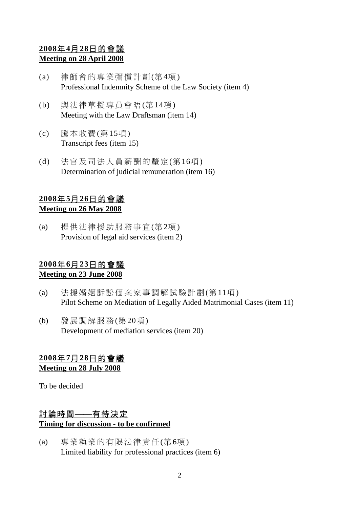## **2008**年**4**月**28**日的會議 **Meeting on 28 April 2008**

- (a) 律師會的專業彌償計劃(第4項) Professional Indemnity Scheme of the Law Society (item 4)
- (b) 與法律草擬專員會晤(第14項) Meeting with the Law Draftsman (item 14)
- (c) 騰本收費(第15項) Transcript fees (item 15)
- (d) 法官及司法人員薪酬的釐定(第16項) Determination of judicial remuneration (item 16)

# **2008**年**5**月**26**日的會議

#### **Meeting on 26 May 2008**

(a) 提供法律援助服務事宜(第2項) Provision of legal aid services (item 2)

### **2008**年**6**月**23**日的會議 **Meeting on 23 June 2008**

- (a) 法援婚姻訴訟個案家事調解試驗計劃(第11項) Pilot Scheme on Mediation of Legally Aided Matrimonial Cases (item 11)
- (b) 發展調解服務(第20項) Development of mediation services (item 20)

## **2008**年**7**月**28**日的會議

**Meeting on 28 July 2008**

To be decided

# 討論時間——有待決定 **Timing for discussion - to be confirmed**

(a) 專業執業的有限法律責任(第6項) Limited liability for professional practices (item 6)